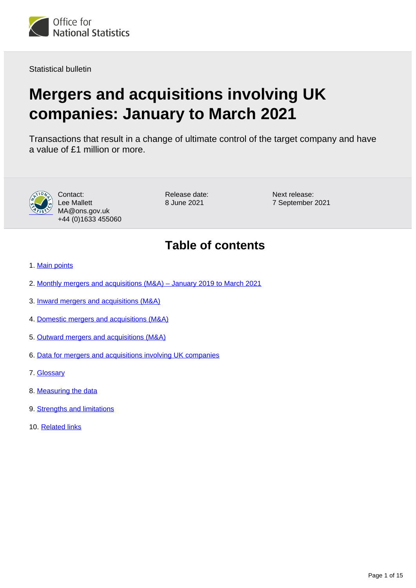

Statistical bulletin

# **Mergers and acquisitions involving UK companies: January to March 2021**

Transactions that result in a change of ultimate control of the target company and have a value of £1 million or more.



Contact: Lee Mallett MA@ons.gov.uk +44 (0)1633 455060 Release date: 8 June 2021

Next release: 7 September 2021

# **Table of contents**

- 1. [Main points](#page-1-0)
- 2. [Monthly mergers and acquisitions \(M&A\) January 2019 to March 2021](#page-1-1)
- 3. [Inward mergers and acquisitions \(M&A\)](#page-2-0)
- 4. [Domestic mergers and acquisitions \(M&A\)](#page-5-0)
- 5. [Outward mergers and acquisitions \(M&A\)](#page-8-0)
- 6. [Data for mergers and acquisitions involving UK companies](#page-11-0)
- 7. [Glossary](#page-11-1)
- 8. [Measuring the data](#page-13-0)
- 9. [Strengths and limitations](#page-13-1)
- 10. [Related links](#page-14-0)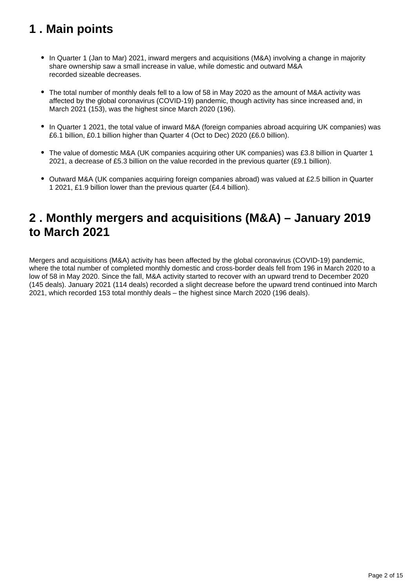# <span id="page-1-0"></span>**1 . Main points**

- In Quarter 1 (Jan to Mar) 2021, inward mergers and acquisitions (M&A) involving a change in majority share ownership saw a small increase in value, while domestic and outward M&A recorded sizeable decreases.
- The total number of monthly deals fell to a low of 58 in May 2020 as the amount of M&A activity was affected by the global coronavirus (COVID-19) pandemic, though activity has since increased and, in March 2021 (153), was the highest since March 2020 (196).
- In Quarter 1 2021, the total value of inward M&A (foreign companies abroad acquiring UK companies) was £6.1 billion, £0.1 billion higher than Quarter 4 (Oct to Dec) 2020 (£6.0 billion).
- The value of domestic M&A (UK companies acquiring other UK companies) was £3.8 billion in Quarter 1 2021, a decrease of £5.3 billion on the value recorded in the previous quarter (£9.1 billion).
- Outward M&A (UK companies acquiring foreign companies abroad) was valued at £2.5 billion in Quarter 1 2021, £1.9 billion lower than the previous quarter (£4.4 billion).

# <span id="page-1-1"></span>**2 . Monthly mergers and acquisitions (M&A) – January 2019 to March 2021**

Mergers and acquisitions (M&A) activity has been affected by the global coronavirus (COVID-19) pandemic, where the total number of completed monthly domestic and cross-border deals fell from 196 in March 2020 to a low of 58 in May 2020. Since the fall, M&A activity started to recover with an upward trend to December 2020 (145 deals). January 2021 (114 deals) recorded a slight decrease before the upward trend continued into March 2021, which recorded 153 total monthly deals – the highest since March 2020 (196 deals).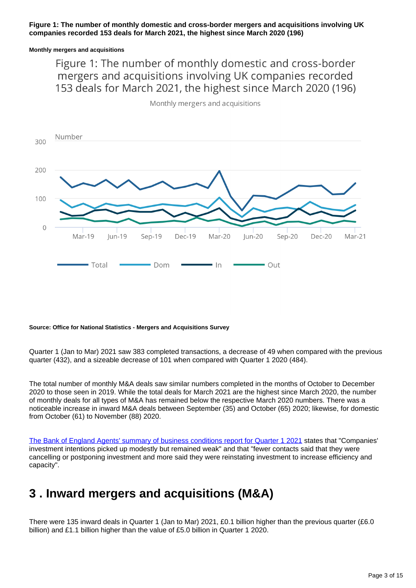### **Figure 1: The number of monthly domestic and cross-border mergers and acquisitions involving UK companies recorded 153 deals for March 2021, the highest since March 2020 (196)**

#### **Monthly mergers and acquisitions**

Figure 1: The number of monthly domestic and cross-border mergers and acquisitions involving UK companies recorded 153 deals for March 2021, the highest since March 2020 (196)



Monthly mergers and acquisitions

#### **Source: Office for National Statistics - Mergers and Acquisitions Survey**

Quarter 1 (Jan to Mar) 2021 saw 383 completed transactions, a decrease of 49 when compared with the previous quarter (432), and a sizeable decrease of 101 when compared with Quarter 1 2020 (484).

The total number of monthly M&A deals saw similar numbers completed in the months of October to December 2020 to those seen in 2019. While the total deals for March 2021 are the highest since March 2020, the number of monthly deals for all types of M&A has remained below the respective March 2020 numbers. There was a noticeable increase in inward M&A deals between September (35) and October (65) 2020; likewise, for domestic from October (61) to November (88) 2020.

[The Bank of England Agents' summary of business conditions report for Quarter 1 2021](https://www.bankofengland.co.uk/agents-summary/2021/2021-q1) states that "Companies' investment intentions picked up modestly but remained weak" and that "fewer contacts said that they were cancelling or postponing investment and more said they were reinstating investment to increase efficiency and capacity".

# <span id="page-2-0"></span>**3 . Inward mergers and acquisitions (M&A)**

There were 135 inward deals in Quarter 1 (Jan to Mar) 2021, £0.1 billion higher than the previous quarter (£6.0 billion) and £1.1 billion higher than the value of £5.0 billion in Quarter 1 2020.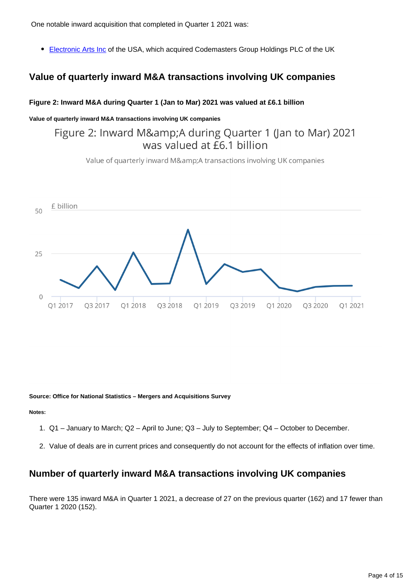One notable inward acquisition that completed in Quarter 1 2021 was:

**[Electronic Arts Inc](https://www.insidermedia.com/news/midlands/eas-acquisition-of-codemasters-completes) of the USA, which acquired Codemasters Group Holdings PLC of the UK** 

## **Value of quarterly inward M&A transactions involving UK companies**

### **Figure 2: Inward M&A during Quarter 1 (Jan to Mar) 2021 was valued at £6.1 billion**

### **Value of quarterly inward M&A transactions involving UK companies**

Figure 2: Inward M&A during Quarter 1 (Jan to Mar) 2021 was valued at £6.1 billion

Value of quarterly inward M&A transactions involving UK companies



**Source: Office for National Statistics – Mergers and Acquisitions Survey**

**Notes:**

- 1. Q1 January to March; Q2 April to June; Q3 July to September; Q4 October to December.
- 2. Value of deals are in current prices and consequently do not account for the effects of inflation over time.

## **Number of quarterly inward M&A transactions involving UK companies**

There were 135 inward M&A in Quarter 1 2021, a decrease of 27 on the previous quarter (162) and 17 fewer than Quarter 1 2020 (152).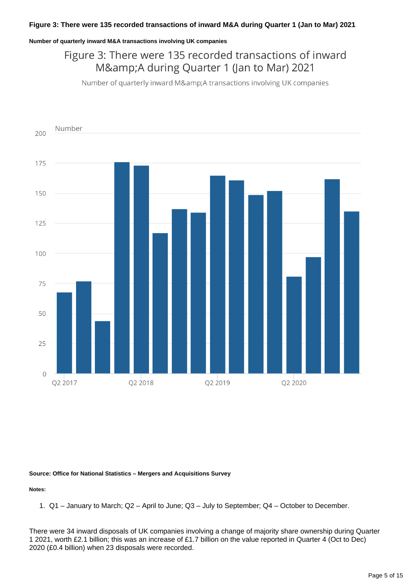#### **Number of quarterly inward M&A transactions involving UK companies**

# Figure 3: There were 135 recorded transactions of inward M&A during Quarter 1 (Jan to Mar) 2021

Number of quarterly inward M&A transactions involving UK companies



#### **Source: Office for National Statistics – Mergers and Acquisitions Survey**

**Notes:**

1. Q1 – January to March; Q2 – April to June; Q3 – July to September; Q4 – October to December.

There were 34 inward disposals of UK companies involving a change of majority share ownership during Quarter 1 2021, worth £2.1 billion; this was an increase of £1.7 billion on the value reported in Quarter 4 (Oct to Dec) 2020 (£0.4 billion) when 23 disposals were recorded.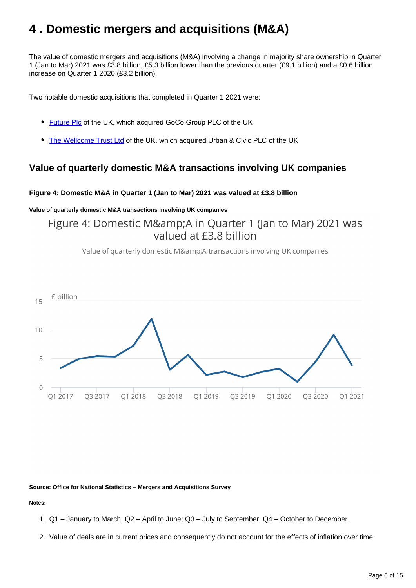# <span id="page-5-0"></span>**4 . Domestic mergers and acquisitions (M&A)**

The value of domestic mergers and acquisitions (M&A) involving a change in majority share ownership in Quarter 1 (Jan to Mar) 2021 was £3.8 billion, £5.3 billion lower than the previous quarter (£9.1 billion) and a £0.6 billion increase on Quarter 1 2020 (£3.2 billion).

Two notable domestic acquisitions that completed in Quarter 1 2021 were:

- [Future Plc](https://www.futureplc.com/2021/02/22/future-plc-acquires-goco-group-plc/) of the UK, which acquired GoCo Group PLC of the UK
- [The Wellcome Trust Ltd](https://www.investegate.co.uk/urban--38-civic-plc--uanc-/rns/recommended-cash-acquisition/202101211206464959M/) of the UK, which acquired Urban & Civic PLC of the UK

## **Value of quarterly domestic M&A transactions involving UK companies**

### **Figure 4: Domestic M&A in Quarter 1 (Jan to Mar) 2021 was valued at £3.8 billion**

**Value of quarterly domestic M&A transactions involving UK companies**

Figure 4: Domestic M& A in Quarter 1 (Jan to Mar) 2021 was valued at £3.8 billion

Value of quarterly domestic M&A transactions involving UK companies



**Source: Office for National Statistics – Mergers and Acquisitions Survey**

**Notes:**

- 1. Q1 January to March; Q2 April to June; Q3 July to September; Q4 October to December.
- 2. Value of deals are in current prices and consequently do not account for the effects of inflation over time.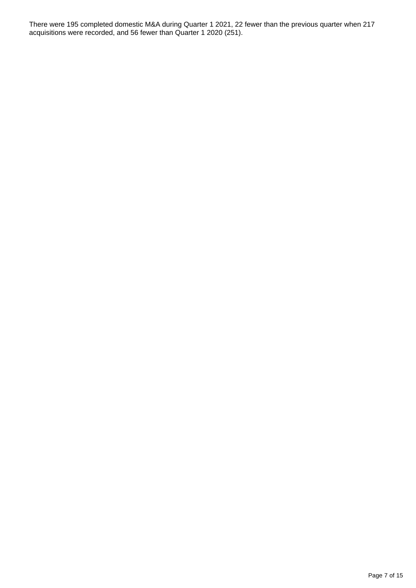There were 195 completed domestic M&A during Quarter 1 2021, 22 fewer than the previous quarter when 217 acquisitions were recorded, and 56 fewer than Quarter 1 2020 (251).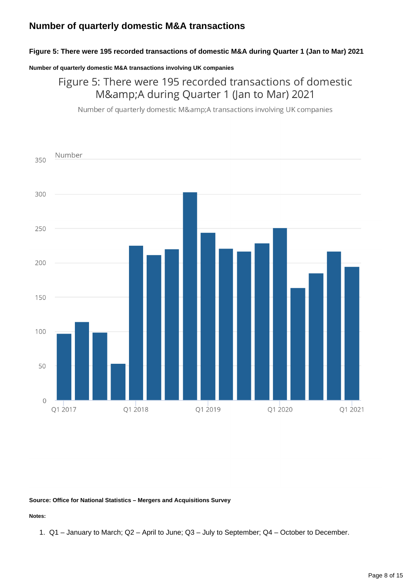# **Number of quarterly domestic M&A transactions**

### **Figure 5: There were 195 recorded transactions of domestic M&A during Quarter 1 (Jan to Mar) 2021**

### **Number of quarterly domestic M&A transactions involving UK companies**

# Figure 5: There were 195 recorded transactions of domestic M&A during Quarter 1 (Jan to Mar) 2021

Number of quarterly domestic M&A transactions involving UK companies



#### **Source: Office for National Statistics – Mergers and Acquisitions Survey**

### **Notes:**

1. Q1 – January to March; Q2 – April to June; Q3 – July to September; Q4 – October to December.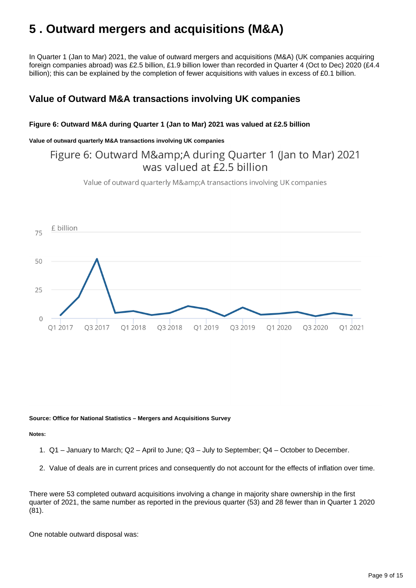# <span id="page-8-0"></span>**5 . Outward mergers and acquisitions (M&A)**

In Quarter 1 (Jan to Mar) 2021, the value of outward mergers and acquisitions (M&A) (UK companies acquiring foreign companies abroad) was £2.5 billion, £1.9 billion lower than recorded in Quarter 4 (Oct to Dec) 2020 (£4.4 billion); this can be explained by the completion of fewer acquisitions with values in excess of £0.1 billion.

# **Value of Outward M&A transactions involving UK companies**

### **Figure 6: Outward M&A during Quarter 1 (Jan to Mar) 2021 was valued at £2.5 billion**

### **Value of outward quarterly M&A transactions involving UK companies**

# Figure 6: Outward M&A during Quarter 1 (Jan to Mar) 2021 was valued at £2.5 billion

Value of outward quarterly M&A transactions involving UK companies



**Source: Office for National Statistics – Mergers and Acquisitions Survey**

**Notes:**

- 1. Q1 January to March; Q2 April to June; Q3 July to September; Q4 October to December.
- 2. Value of deals are in current prices and consequently do not account for the effects of inflation over time.

There were 53 completed outward acquisitions involving a change in majority share ownership in the first quarter of 2021, the same number as reported in the previous quarter (53) and 28 fewer than in Quarter 1 2020 (81).

One notable outward disposal was: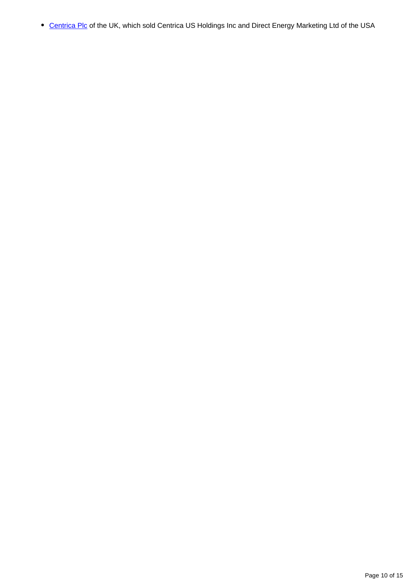• [Centrica Plc](https://www.investegate.co.uk/centrica-plc--cna-/rns/completion-of-the-sale-of-direct-energy/202101051632146704K/) of the UK, which sold Centrica US Holdings Inc and Direct Energy Marketing Ltd of the USA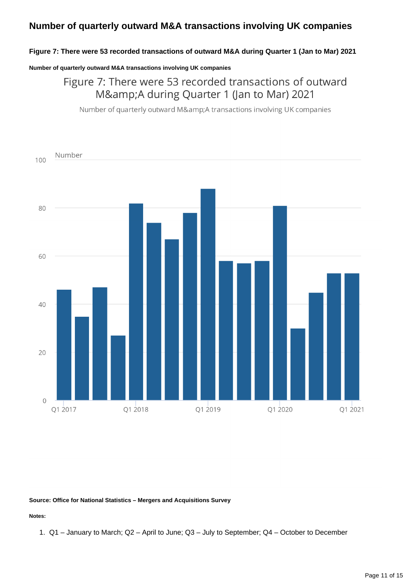# **Number of quarterly outward M&A transactions involving UK companies**

### **Figure 7: There were 53 recorded transactions of outward M&A during Quarter 1 (Jan to Mar) 2021**

### **Number of quarterly outward M&A transactions involving UK companies**

# Figure 7: There were 53 recorded transactions of outward M&A during Quarter 1 (Jan to Mar) 2021

Number of quarterly outward M&A transactions involving UK companies



**Source: Office for National Statistics – Mergers and Acquisitions Survey**

### **Notes:**

1. Q1 – January to March; Q2 – April to June; Q3 – July to September; Q4 – October to December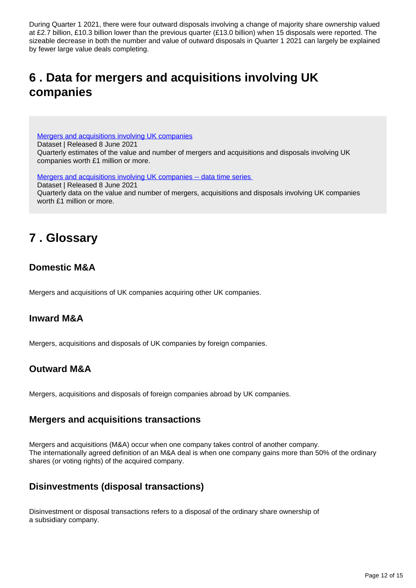During Quarter 1 2021, there were four outward disposals involving a change of majority share ownership valued at £2.7 billion, £10.3 billion lower than the previous quarter (£13.0 billion) when 15 disposals were reported. The sizeable decrease in both the number and value of outward disposals in Quarter 1 2021 can largely be explained by fewer large value deals completing.

# <span id="page-11-0"></span>**6 . Data for mergers and acquisitions involving UK companies**

[Mergers and acquisitions involving UK companies](https://www.ons.gov.uk/businessindustryandtrade/changestobusiness/mergersandacquisitions/datasets/mergersandacquisitionsinvolvingukcompanies)

Dataset | Released 8 June 2021 Quarterly estimates of the value and number of mergers and acquisitions and disposals involving UK companies worth £1 million or more.

[Mergers and acquisitions involving UK companies -- data time series](https://www.ons.gov.uk/businessindustryandtrade/changestobusiness/mergersandacquisitions/datasets/mergersandacquisitionsuk) 

Dataset | Released 8 June 2021 Quarterly data on the value and number of mergers, acquisitions and disposals involving UK companies worth £1 million or more.

# <span id="page-11-1"></span>**7 . Glossary**

## **Domestic M&A**

Mergers and acquisitions of UK companies acquiring other UK companies.

## **Inward M&A**

Mergers, acquisitions and disposals of UK companies by foreign companies.

### **Outward M&A**

Mergers, acquisitions and disposals of foreign companies abroad by UK companies.

### **Mergers and acquisitions transactions**

Mergers and acquisitions (M&A) occur when one company takes control of another company. The internationally agreed definition of an M&A deal is when one company gains more than 50% of the ordinary shares (or voting rights) of the acquired company.

# **Disinvestments (disposal transactions)**

Disinvestment or disposal transactions refers to a disposal of the ordinary share ownership of a subsidiary company.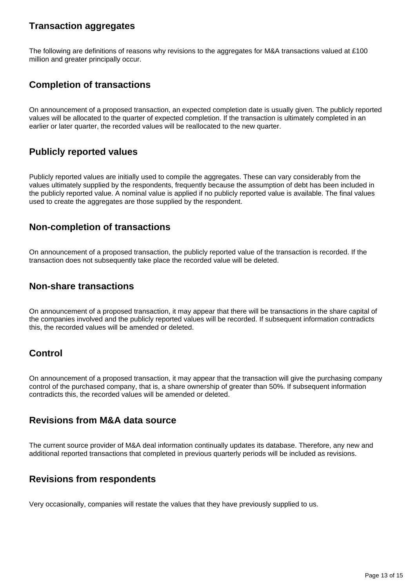## **Transaction aggregates**

The following are definitions of reasons why revisions to the aggregates for M&A transactions valued at £100 million and greater principally occur.

## **Completion of transactions**

On announcement of a proposed transaction, an expected completion date is usually given. The publicly reported values will be allocated to the quarter of expected completion. If the transaction is ultimately completed in an earlier or later quarter, the recorded values will be reallocated to the new quarter.

## **Publicly reported values**

Publicly reported values are initially used to compile the aggregates. These can vary considerably from the values ultimately supplied by the respondents, frequently because the assumption of debt has been included in the publicly reported value. A nominal value is applied if no publicly reported value is available. The final values used to create the aggregates are those supplied by the respondent.

### **Non-completion of transactions**

On announcement of a proposed transaction, the publicly reported value of the transaction is recorded. If the transaction does not subsequently take place the recorded value will be deleted.

### **Non-share transactions**

On announcement of a proposed transaction, it may appear that there will be transactions in the share capital of the companies involved and the publicly reported values will be recorded. If subsequent information contradicts this, the recorded values will be amended or deleted.

## **Control**

On announcement of a proposed transaction, it may appear that the transaction will give the purchasing company control of the purchased company, that is, a share ownership of greater than 50%. If subsequent information contradicts this, the recorded values will be amended or deleted.

### **Revisions from M&A data source**

The current source provider of M&A deal information continually updates its database. Therefore, any new and additional reported transactions that completed in previous quarterly periods will be included as revisions.

## **Revisions from respondents**

Very occasionally, companies will restate the values that they have previously supplied to us.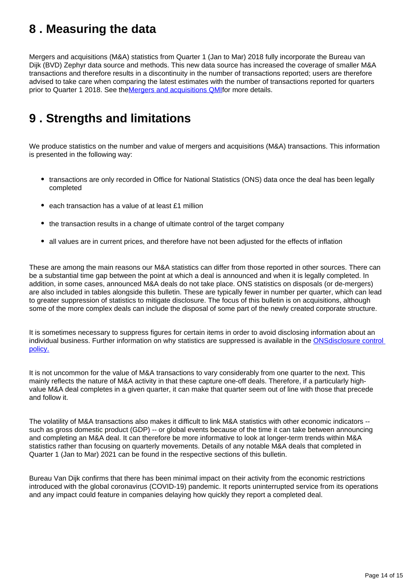# <span id="page-13-0"></span>**8 . Measuring the data**

Mergers and acquisitions (M&A) statistics from Quarter 1 (Jan to Mar) 2018 fully incorporate the Bureau van Dijk (BVD) Zephyr data source and methods. This new data source has increased the coverage of smaller M&A transactions and therefore results in a discontinuity in the number of transactions reported; users are therefore advised to take care when comparing the latest estimates with the number of transactions reported for quarters prior to Quarter 1 2018. See th[eMergers and acquisitions QMI](https://www.ons.gov.uk/businessindustryandtrade/changestobusiness/mergersandacquisitions/methodologies/mergersandacquisitionsmaqmi)for more details.

# <span id="page-13-1"></span>**9 . Strengths and limitations**

We produce statistics on the number and value of mergers and acquisitions (M&A) transactions. This information is presented in the following way:

- transactions are only recorded in Office for National Statistics (ONS) data once the deal has been legally completed
- each transaction has a value of at least £1 million
- the transaction results in a change of ultimate control of the target company
- all values are in current prices, and therefore have not been adiusted for the effects of inflation

These are among the main reasons our M&A statistics can differ from those reported in other sources. There can be a substantial time gap between the point at which a deal is announced and when it is legally completed. In addition, in some cases, announced M&A deals do not take place. ONS statistics on disposals (or de-mergers) are also included in tables alongside this bulletin. These are typically fewer in number per quarter, which can lead to greater suppression of statistics to mitigate disclosure. The focus of this bulletin is on acquisitions, although some of the more complex deals can include the disposal of some part of the newly created corporate structure.

It is sometimes necessary to suppress figures for certain items in order to avoid disclosing information about an individual business. Further information on why statistics are suppressed is available in the [ONSdisclosure control](https://www.ons.gov.uk/methodology/methodologytopicsandstatisticalconcepts/disclosurecontrol)  [policy.](https://www.ons.gov.uk/methodology/methodologytopicsandstatisticalconcepts/disclosurecontrol)

It is not uncommon for the value of M&A transactions to vary considerably from one quarter to the next. This mainly reflects the nature of M&A activity in that these capture one-off deals. Therefore, if a particularly highvalue M&A deal completes in a given quarter, it can make that quarter seem out of line with those that precede and follow it.

The volatility of M&A transactions also makes it difficult to link M&A statistics with other economic indicators - such as gross domestic product (GDP) -- or global events because of the time it can take between announcing and completing an M&A deal. It can therefore be more informative to look at longer-term trends within M&A statistics rather than focusing on quarterly movements. Details of any notable M&A deals that completed in Quarter 1 (Jan to Mar) 2021 can be found in the respective sections of this bulletin.

Bureau Van Dijk confirms that there has been minimal impact on their activity from the economic restrictions introduced with the global coronavirus (COVID-19) pandemic. It reports uninterrupted service from its operations and any impact could feature in companies delaying how quickly they report a completed deal.